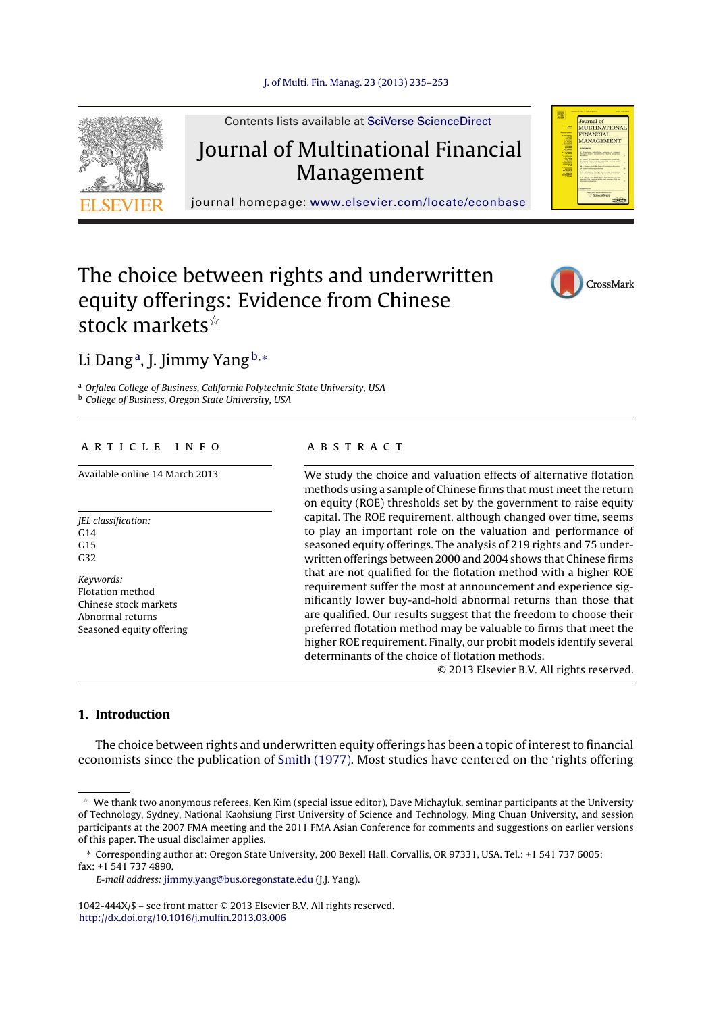

Contents lists available at SciVerse [ScienceDirect](http://www.sciencedirect.com/science/journal/1042444X)

### Journal of Multinational Financial Management

journal homepage: [www.elsevier.com/locate/econbase](http://www.elsevier.com/locate/econbase)

## The choice between rights and underwritten equity offerings: Evidence from Chinese stock markets $^{\scriptscriptstyle\mathrm{st}}$



OUFBEL OF<br>IT IT TINATIONAL INANCIAL<br>IANAGEMENT

Li Dang<sup>a</sup>, J. Jimmy Yang  $b,*$ 

a Orfalea College of Business, California Polytechnic State University, USA **b** College of Business, Oregon State University, USA

#### a r t i c l e i n f o

Available online 14 March 2013

JEL classification: G14  $G<sub>15</sub>$ G32

Keywords: Flotation method Chinese stock markets Abnormal returns Seasoned equity offering

#### a b s t r a c t

We study the choice and valuation effects of alternative flotation methods using a sample of Chinese firms that must meet the return on equity (ROE) thresholds set by the government to raise equity capital. The ROE requirement, although changed over time, seems to play an important role on the valuation and performance of seasoned equity offerings. The analysis of 219 rights and 75 underwritten offerings between 2000 and 2004 shows that Chinese firms that are not qualified for the flotation method with a higher ROE requirement suffer the most at announcement and experience significantly lower buy-and-hold abnormal returns than those that are qualified. Our results suggest that the freedom to choose their preferred flotation method may be valuable to firms that meet the higher ROE requirement. Finally, our probit models identify several determinants of the choice of flotation methods.

© 2013 Elsevier B.V. All rights reserved.

### **1. Introduction**

The choice between rights and underwritten equity offerings has been a topic of interest to financial economists since the publication of [Smith](#page--1-0) [\(1977\).](#page--1-0) Most studies have centered on the 'rights offering

1042-444X/\$ – see front matter © 2013 Elsevier B.V. All rights reserved. [http://dx.doi.org/10.1016/j.mulfin.2013.03.006](dx.doi.org/10.1016/j.mulfin.2013.03.006)

 $^\star$  We thank two anonymous referees, Ken Kim (special issue editor), Dave Michayluk, seminar participants at the University of Technology, Sydney, National Kaohsiung First University of Science and Technology, Ming Chuan University, and session participants at the 2007 FMA meeting and the 2011 FMA Asian Conference for comments and suggestions on earlier versions of this paper. The usual disclaimer applies.

<sup>∗</sup> Corresponding author at: Oregon State University, 200 Bexell Hall, Corvallis, OR 97331, USA. Tel.: +1 541 737 6005; fax: +1 541 737 4890.

E-mail address: [jimmy.yang@bus.oregonstate.edu](mailto:jimmy.yang@bus.oregonstate.edu) (J.J. Yang).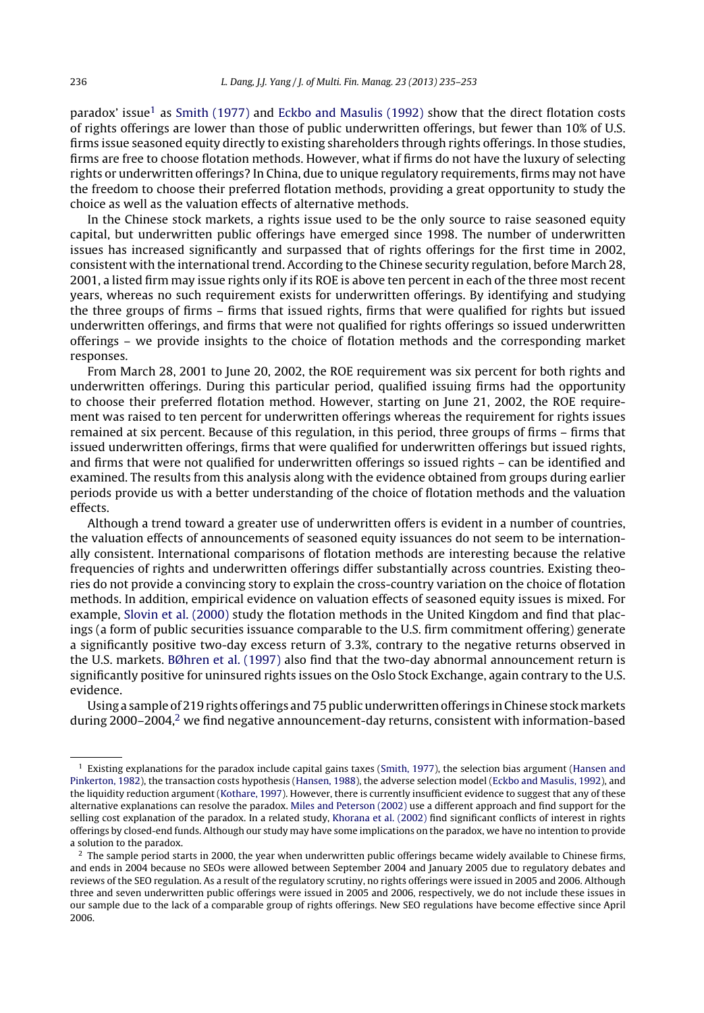paradox' issue<sup>1</sup> as [Smith](#page--1-0) [\(1977\)](#page--1-0) and [Eckbo](#page--1-0) [and](#page--1-0) [Masulis](#page--1-0) [\(1992\)](#page--1-0) show that the direct flotation costs of rights offerings are lower than those of public underwritten offerings, but fewer than 10% of U.S. firms issue seasoned equity directly to existing shareholders through rights offerings. In those studies, firms are free to choose flotation methods. However, what if firms do not have the luxury of selecting rights or underwritten offerings? In China, due to unique regulatory requirements, firms may not have the freedom to choose their preferred flotation methods, providing a great opportunity to study the choice as well as the valuation effects of alternative methods.

In the Chinese stock markets, a rights issue used to be the only source to raise seasoned equity capital, but underwritten public offerings have emerged since 1998. The number of underwritten issues has increased significantly and surpassed that of rights offerings for the first time in 2002, consistent with the international trend. According to the Chinese security regulation, before March 28, 2001, a listed firm may issue rights only if its ROE is above ten percent in each of the three most recent years, whereas no such requirement exists for underwritten offerings. By identifying and studying the three groups of firms – firms that issued rights, firms that were qualified for rights but issued underwritten offerings, and firms that were not qualified for rights offerings so issued underwritten offerings – we provide insights to the choice of flotation methods and the corresponding market responses.

From March 28, 2001 to June 20, 2002, the ROE requirement was six percent for both rights and underwritten offerings. During this particular period, qualified issuing firms had the opportunity to choose their preferred flotation method. However, starting on June 21, 2002, the ROE requirement was raised to ten percent for underwritten offerings whereas the requirement for rights issues remained at six percent. Because of this regulation, in this period, three groups of firms – firms that issued underwritten offerings, firms that were qualified for underwritten offerings but issued rights, and firms that were not qualified for underwritten offerings so issued rights – can be identified and examined. The results from this analysis along with the evidence obtained from groups during earlier periods provide us with a better understanding of the choice of flotation methods and the valuation effects.

Although a trend toward a greater use of underwritten offers is evident in a number of countries, the valuation effects of announcements of seasoned equity issuances do not seem to be internationally consistent. International comparisons of flotation methods are interesting because the relative frequencies of rights and underwritten offerings differ substantially across countries. Existing theories do not provide a convincing story to explain the cross-country variation on the choice of flotation methods. In addition, empirical evidence on valuation effects of seasoned equity issues is mixed. For example, [Slovin](#page--1-0) et [al.](#page--1-0) [\(2000\)](#page--1-0) study the flotation methods in the United Kingdom and find that placings (a form of public securities issuance comparable to the U.S. firm commitment offering) generate a significantly positive two-day excess return of 3.3%, contrary to the negative returns observed in the U.S. markets. [BØhren](#page--1-0) et [al.](#page--1-0) [\(1997\)](#page--1-0) also find that the two-day abnormal announcement return is significantly positive for uninsured rights issues on the Oslo Stock Exchange, again contrary to the U.S. evidence.

Using a sample of 219 rights offerings and 75 public underwritten offerings in Chinese stock markets during 2000–2004, $2\pi$  we find negative announcement-day returns, consistent with information-based

<sup>1</sup> Existing explanations for the paradox include capital gains taxes ([Smith,](#page--1-0) [1977\),](#page--1-0) the selection bias argument [\(Hansen](#page--1-0) [and](#page--1-0) [Pinkerton,](#page--1-0) [1982\),](#page--1-0) the transaction costs hypothesis [\(Hansen,](#page--1-0) [1988\),](#page--1-0) the adverse selection model ([Eckbo](#page--1-0) [and](#page--1-0) [Masulis,](#page--1-0) [1992\),](#page--1-0) and the liquidity reduction argument [\(Kothare,](#page--1-0) [1997\).](#page--1-0) However, there is currently insufficient evidence to suggest that any of these alternative explanations can resolve the paradox. [Miles](#page--1-0) [and](#page--1-0) [Peterson](#page--1-0) [\(2002\)](#page--1-0) use a different approach and find support for the selling cost explanation of the paradox. In a related study, [Khorana](#page--1-0) et [al.](#page--1-0) [\(2002\)](#page--1-0) find significant conflicts of interest in rights offerings by closed-end funds. Although our study may have some implications on the paradox, we have no intention to provide a solution to the paradox.

 $<sup>2</sup>$  The sample period starts in 2000, the year when underwritten public offerings became widely available to Chinese firms,</sup> and ends in 2004 because no SEOs were allowed between September 2004 and January 2005 due to regulatory debates and reviews of the SEO regulation. As a result of the regulatory scrutiny, no rights offerings were issued in 2005 and 2006. Although three and seven underwritten public offerings were issued in 2005 and 2006, respectively, we do not include these issues in our sample due to the lack of a comparable group of rights offerings. New SEO regulations have become effective since April 2006.